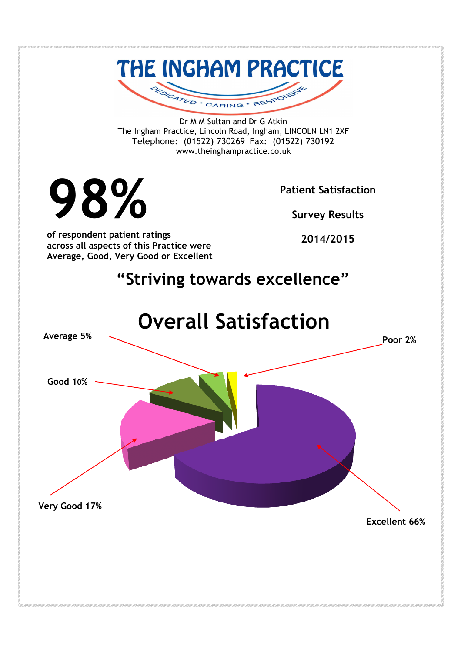

# "Striving towards excellence"

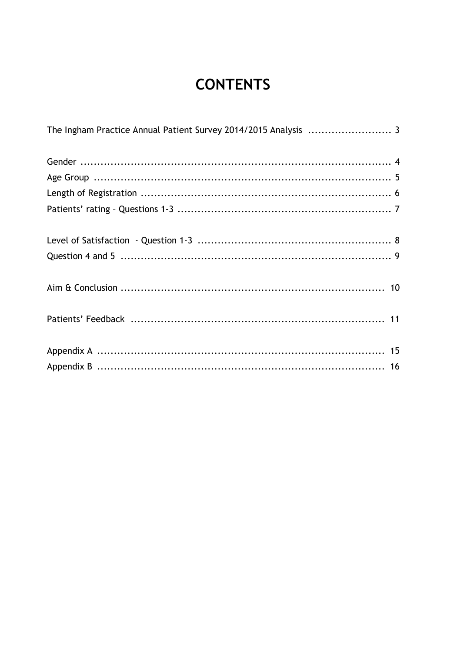# **CONTENTS**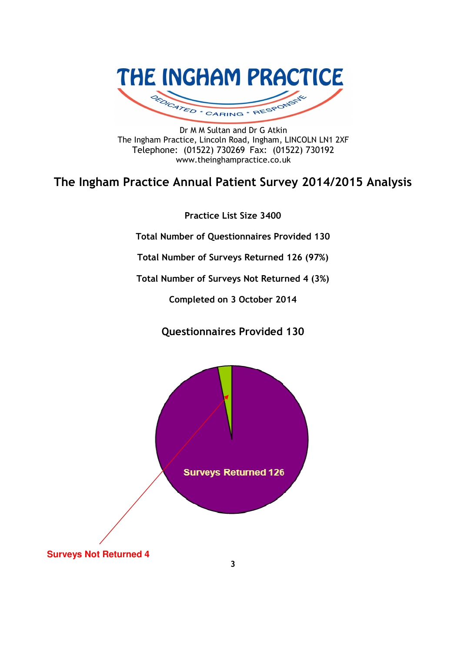

Dr M M Sultan and Dr G Atkin The Ingham Practice, Lincoln Road, Ingham, LINCOLN LN1 2XF Telephone: (01522) 730269 Fax: (01522) 730192 www.theinghampractice.co.uk

### The Ingham Practice Annual Patient Survey 2014/2015 Analysis

Practice List Size 3400

Total Number of Questionnaires Provided 130

Total Number of Surveys Returned 126 (97%)

Total Number of Surveys Not Returned 4 (3%)

Completed on 3 October 2014

Questionnaires Provided 130

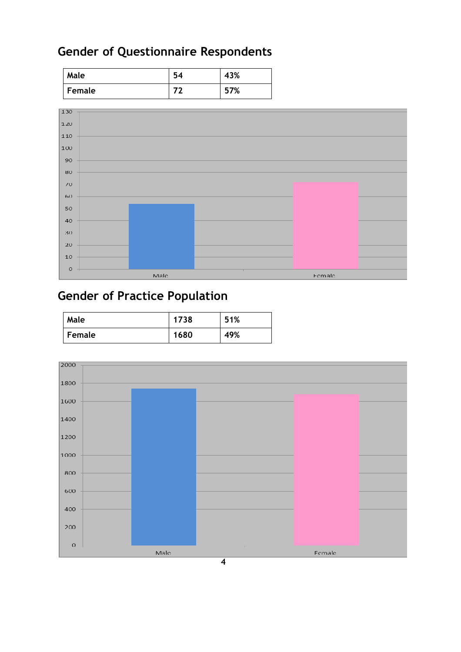### Gender of Questionnaire Respondents

| Male   | 54 | 43% |
|--------|----|-----|
| Female |    | 57% |



## Gender of Practice Population

| Male   | 1738 | 51% |
|--------|------|-----|
| Female | 1680 | 49% |

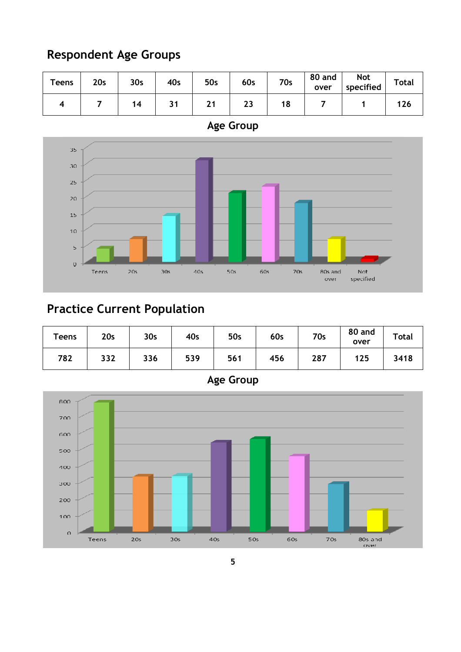## Respondent Age Groups

| <b>Teens</b> | 20s | 30 <sub>s</sub> | 40s | 50s | 60s | <b>70s</b> | 80 and<br>over | <b>Not</b><br>specified | <b>Total</b> |
|--------------|-----|-----------------|-----|-----|-----|------------|----------------|-------------------------|--------------|
|              |     | 14              | າ - |     | 23  | 18         |                |                         |              |



## Practice Current Population

| <b>Teens</b> | 20s | 30 <sub>s</sub> | 40s | 50s | 60s | <b>70s</b> | 80 and<br>over | <b>Total</b> |
|--------------|-----|-----------------|-----|-----|-----|------------|----------------|--------------|
| 782          | 332 | 336             | 539 | 561 | 456 | 287        | 125            | 3418         |





## Age Group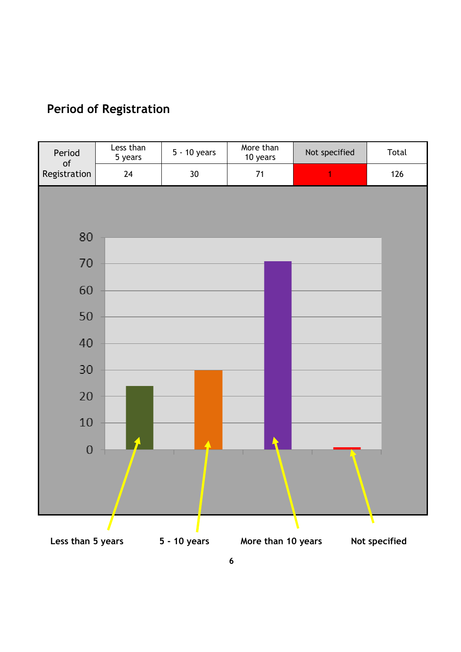

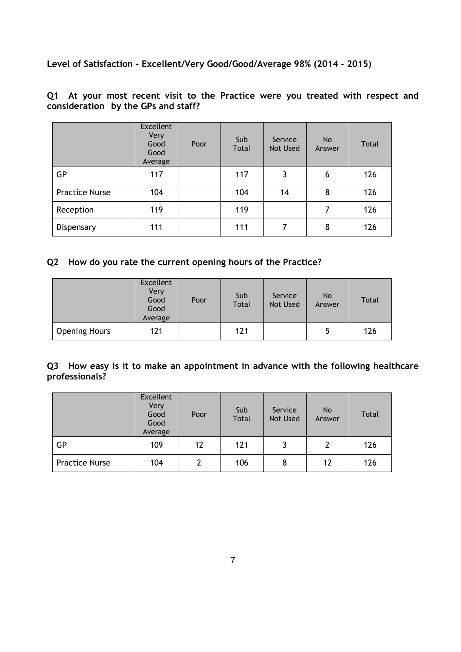Level of Satisfaction - Excellent/Very Good/Good/Average 98% (2014 – 2015)

Q1 At your most recent visit to the Practice were you treated with respect and consideration by the GPs and staff?

|                       | <b>Excellent</b><br>Very<br>Good<br>Good<br>Average | Poor | Sub<br>Total | Service<br>Not Used | <b>No</b><br>Answer | <b>Total</b> |
|-----------------------|-----------------------------------------------------|------|--------------|---------------------|---------------------|--------------|
| GP                    | 117                                                 |      | 117          | 3                   | 6                   | 126          |
| <b>Practice Nurse</b> | 104                                                 |      | 104          | 14                  | 8                   | 126          |
| Reception             | 119                                                 |      | 119          |                     | 7                   | 126          |
| Dispensary            | 111                                                 |      | 111          | 7                   | 8                   | 126          |

#### Q2 How do you rate the current opening hours of the Practice?

|                      | Excellent<br>Very<br>Good<br>Good<br>Average | Poor | Sub<br><b>Total</b> | Service<br>Not Used | <b>No</b><br>Answer | <b>Total</b> |
|----------------------|----------------------------------------------|------|---------------------|---------------------|---------------------|--------------|
| <b>Opening Hours</b> | 121                                          |      | 121                 |                     | 5                   | 126          |

#### Q3 How easy is it to make an appointment in advance with the following healthcare professionals?

|                       | <b>Excellent</b><br>Very<br>Good<br>Good<br>Average | Poor | Sub<br><b>Total</b> | Service<br>Not Used | <b>No</b><br>Answer | Total |
|-----------------------|-----------------------------------------------------|------|---------------------|---------------------|---------------------|-------|
| GP                    | 109                                                 | 12   | 121                 |                     |                     | 126   |
| <b>Practice Nurse</b> | 104                                                 | າ    | 106                 | 8                   | 12                  | 126   |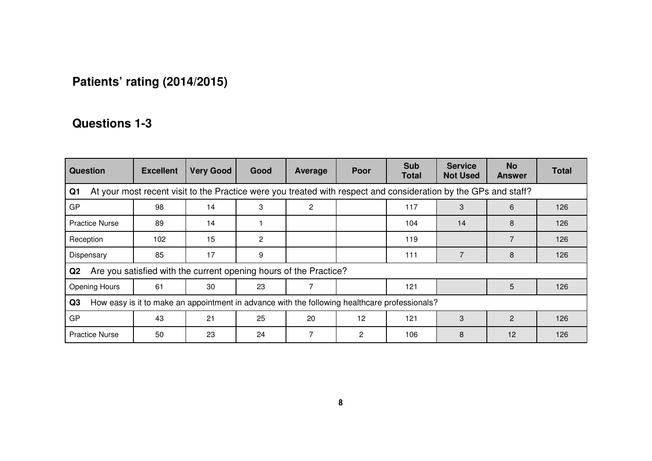### **Patients' rating (2014/2015)**

### **Questions 1-3**

| <b>Question</b>                                                                                                                   | <b>Excellent</b>                                                  | <b>Very Good</b> | Good | Average | Poor         | <b>Sub</b><br>Total | <b>Service</b><br><b>Not Used</b> | <b>No</b><br><b>Answer</b> | <b>Total</b> |  |
|-----------------------------------------------------------------------------------------------------------------------------------|-------------------------------------------------------------------|------------------|------|---------|--------------|---------------------|-----------------------------------|----------------------------|--------------|--|
| At your most recent visit to the Practice were you treated with respect and consideration by the GPs and staff?<br>Q <sub>1</sub> |                                                                   |                  |      |         |              |                     |                                   |                            |              |  |
| <b>GP</b>                                                                                                                         | 98                                                                | 14               | 3    | 2       |              | 117                 | 3                                 | 6                          | 126          |  |
| <b>Practice Nurse</b>                                                                                                             | 89                                                                | 14               |      |         |              | 104                 | 14                                | 8                          | 126          |  |
| Reception                                                                                                                         | 102                                                               | 15               | 2    |         |              | 119                 |                                   |                            | 126          |  |
| Dispensary                                                                                                                        | 85                                                                | 17               | 9    |         |              | 111                 | 7                                 | 8                          | 126          |  |
| Q2                                                                                                                                | Are you satisfied with the current opening hours of the Practice? |                  |      |         |              |                     |                                   |                            |              |  |
| <b>Opening Hours</b>                                                                                                              | 61                                                                | 30               | 23   |         |              | 121                 |                                   | 5                          | 126          |  |
| Q <sub>3</sub><br>How easy is it to make an appointment in advance with the following healthcare professionals?                   |                                                                   |                  |      |         |              |                     |                                   |                            |              |  |
| <b>GP</b>                                                                                                                         | 43                                                                | 21               | 25   | 20      | 12           | 121                 | 3                                 | 2                          | 126          |  |
| <b>Practice Nurse</b>                                                                                                             | 50                                                                | 23               | 24   |         | $\mathbf{2}$ | 106                 | 8                                 | 12                         | 126          |  |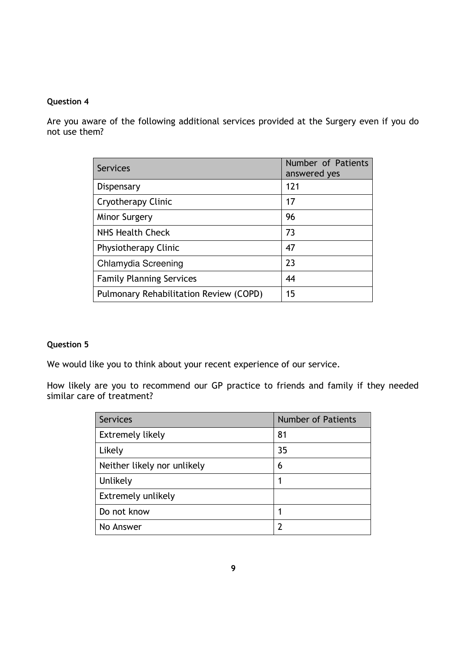#### Question 4

Are you aware of the following additional services provided at the Surgery even if you do not use them?

| <b>Services</b>                        | Number of Patients<br>answered yes |
|----------------------------------------|------------------------------------|
| Dispensary                             | 121                                |
| <b>Cryotherapy Clinic</b>              | 17                                 |
| Minor Surgery                          | 96                                 |
| NHS Health Check                       | 73                                 |
| <b>Physiotherapy Clinic</b>            | 47                                 |
| Chlamydia Screening                    | 23                                 |
| <b>Family Planning Services</b>        | 44                                 |
| Pulmonary Rehabilitation Review (COPD) | 15                                 |

#### Question 5

We would like you to think about your recent experience of our service.

How likely are you to recommend our GP practice to friends and family if they needed similar care of treatment?

| <b>Services</b>             | <b>Number of Patients</b> |
|-----------------------------|---------------------------|
| <b>Extremely likely</b>     | 81                        |
| Likely                      | 35                        |
| Neither likely nor unlikely | 6                         |
| Unlikely                    |                           |
| Extremely unlikely          |                           |
| Do not know                 |                           |
| No Answer                   | 2                         |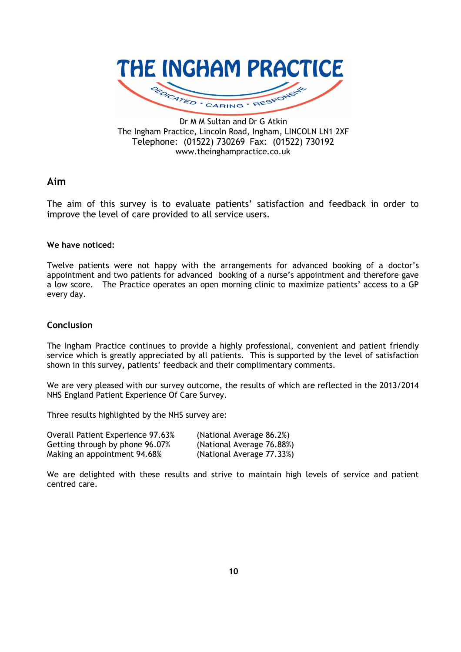

Dr M M Sultan and Dr G Atkin The Ingham Practice, Lincoln Road, Ingham, LINCOLN LN1 2XF Telephone: (01522) 730269 Fax: (01522) 730192 www.theinghampractice.co.uk

#### Aim

The aim of this survey is to evaluate patients' satisfaction and feedback in order to improve the level of care provided to all service users.

#### We have noticed:

Twelve patients were not happy with the arrangements for advanced booking of a doctor's appointment and two patients for advanced booking of a nurse's appointment and therefore gave a low score. The Practice operates an open morning clinic to maximize patients' access to a GP every day.

#### Conclusion

The Ingham Practice continues to provide a highly professional, convenient and patient friendly service which is greatly appreciated by all patients. This is supported by the level of satisfaction shown in this survey, patients' feedback and their complimentary comments.

We are very pleased with our survey outcome, the results of which are reflected in the 2013/2014 NHS England Patient Experience Of Care Survey.

Three results highlighted by the NHS survey are:

| <b>Overall Patient Experience 97.63%</b> | (National Average 86.2%)  |
|------------------------------------------|---------------------------|
| Getting through by phone 96.07%          | (National Average 76.88%) |
| Making an appointment 94.68%             | (National Average 77.33%) |

We are delighted with these results and strive to maintain high levels of service and patient centred care.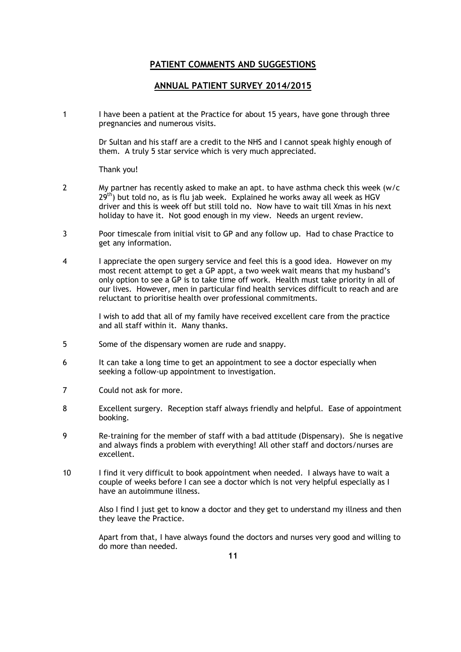#### PATIENT COMMENTS AND SUGGESTIONS

#### ANNUAL PATIENT SURVEY 2014/2015

1 I have been a patient at the Practice for about 15 years, have gone through three pregnancies and numerous visits.

> Dr Sultan and his staff are a credit to the NHS and I cannot speak highly enough of them. A truly 5 star service which is very much appreciated.

Thank you!

- 2 My partner has recently asked to make an apt. to have asthma check this week (w/c  $29<sup>th</sup>$ ) but told no, as is flu jab week. Explained he works away all week as HGV driver and this is week off but still told no. Now have to wait till Xmas in his next holiday to have it. Not good enough in my view. Needs an urgent review.
- 3 Poor timescale from initial visit to GP and any follow up. Had to chase Practice to get any information.
- 4 I appreciate the open surgery service and feel this is a good idea. However on my most recent attempt to get a GP appt, a two week wait means that my husband's only option to see a GP is to take time off work. Health must take priority in all of our lives. However, men in particular find health services difficult to reach and are reluctant to prioritise health over professional commitments.

I wish to add that all of my family have received excellent care from the practice and all staff within it. Many thanks.

- 5 Some of the dispensary women are rude and snappy.
- 6 It can take a long time to get an appointment to see a doctor especially when seeking a follow-up appointment to investigation.
- 7 Could not ask for more.
- 8 Excellent surgery. Reception staff always friendly and helpful. Ease of appointment booking.
- 9 Re-training for the member of staff with a bad attitude (Dispensary). She is negative and always finds a problem with everything! All other staff and doctors/nurses are excellent.
- 10 I find it very difficult to book appointment when needed. I always have to wait a couple of weeks before I can see a doctor which is not very helpful especially as I have an autoimmune illness.

Also I find I just get to know a doctor and they get to understand my illness and then they leave the Practice.

Apart from that, I have always found the doctors and nurses very good and willing to do more than needed.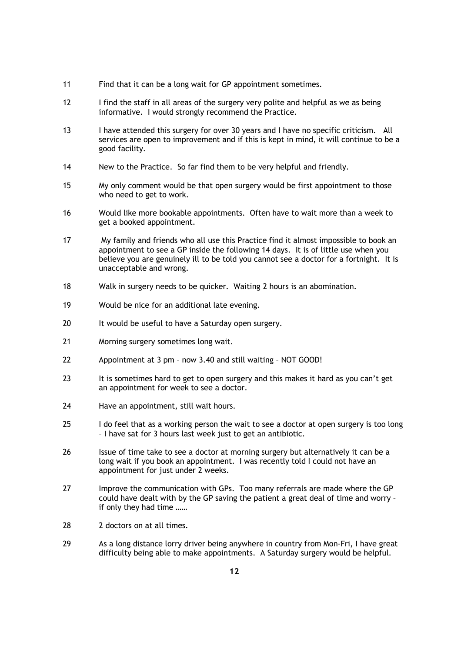- 11 Find that it can be a long wait for GP appointment sometimes.
- 12 I find the staff in all areas of the surgery very polite and helpful as we as being informative. I would strongly recommend the Practice.
- 13 I have attended this surgery for over 30 years and I have no specific criticism. All services are open to improvement and if this is kept in mind, it will continue to be a good facility.
- 14 New to the Practice. So far find them to be very helpful and friendly.
- 15 My only comment would be that open surgery would be first appointment to those who need to get to work.
- 16 Would like more bookable appointments. Often have to wait more than a week to get a booked appointment.
- 17 My family and friends who all use this Practice find it almost impossible to book an appointment to see a GP inside the following 14 days. It is of little use when you believe you are genuinely ill to be told you cannot see a doctor for a fortnight. It is unacceptable and wrong.
- 18 Walk in surgery needs to be quicker. Waiting 2 hours is an abomination.
- 19 Would be nice for an additional late evening.
- 20 It would be useful to have a Saturday open surgery.
- 21 Morning surgery sometimes long wait.
- 22 Appointment at 3 pm now 3.40 and still waiting NOT GOOD!
- 23 It is sometimes hard to get to open surgery and this makes it hard as you can't get an appointment for week to see a doctor.
- 24 Have an appointment, still wait hours.
- 25 I do feel that as a working person the wait to see a doctor at open surgery is too long – I have sat for 3 hours last week just to get an antibiotic.
- 26 Issue of time take to see a doctor at morning surgery but alternatively it can be a long wait if you book an appointment. I was recently told I could not have an appointment for just under 2 weeks.
- 27 Improve the communication with GPs. Too many referrals are made where the GP could have dealt with by the GP saving the patient a great deal of time and worry – if only they had time ……
- 28 2 doctors on at all times.
- 29 As a long distance lorry driver being anywhere in country from Mon-Fri, I have great difficulty being able to make appointments. A Saturday surgery would be helpful.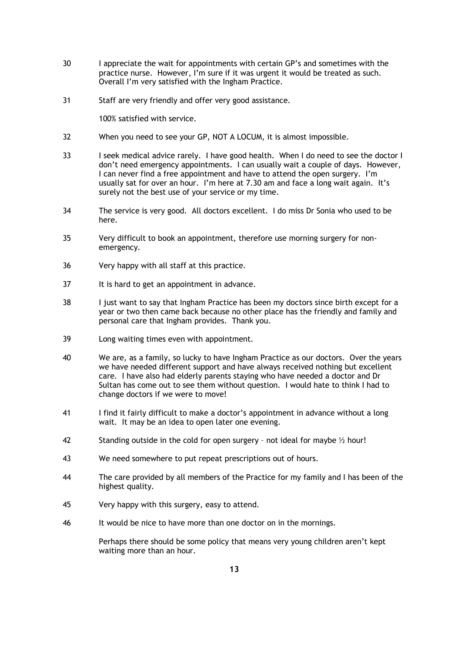- 30 I appreciate the wait for appointments with certain GP's and sometimes with the practice nurse. However, I'm sure if it was urgent it would be treated as such. Overall I'm very satisfied with the Ingham Practice.
- 31 Staff are very friendly and offer very good assistance.

100% satisfied with service.

- 32 When you need to see your GP, NOT A LOCUM, it is almost impossible.
- 33 I seek medical advice rarely. I have good health. When I do need to see the doctor I don't need emergency appointments. I can usually wait a couple of days. However, I can never find a free appointment and have to attend the open surgery. I'm usually sat for over an hour. I'm here at 7.30 am and face a long wait again. It's surely not the best use of your service or my time.
- 34 The service is very good. All doctors excellent. I do miss Dr Sonia who used to be here.
- 35 Very difficult to book an appointment, therefore use morning surgery for nonemergency.
- 36 Very happy with all staff at this practice.
- 37 It is hard to get an appointment in advance.
- 38 I just want to say that Ingham Practice has been my doctors since birth except for a year or two then came back because no other place has the friendly and family and personal care that Ingham provides. Thank you.
- 39 Long waiting times even with appointment.
- 40 We are, as a family, so lucky to have Ingham Practice as our doctors. Over the years we have needed different support and have always received nothing but excellent care. I have also had elderly parents staying who have needed a doctor and Dr Sultan has come out to see them without question. I would hate to think I had to change doctors if we were to move!
- 41 I find it fairly difficult to make a doctor's appointment in advance without a long wait. It may be an idea to open later one evening.
- 42 Standing outside in the cold for open surgery not ideal for maybe  $\frac{1}{2}$  hour!
- 43 We need somewhere to put repeat prescriptions out of hours.
- 44 The care provided by all members of the Practice for my family and I has been of the highest quality.
- 45 Very happy with this surgery, easy to attend.
- 46 It would be nice to have more than one doctor on in the mornings.

Perhaps there should be some policy that means very young children aren't kept waiting more than an hour.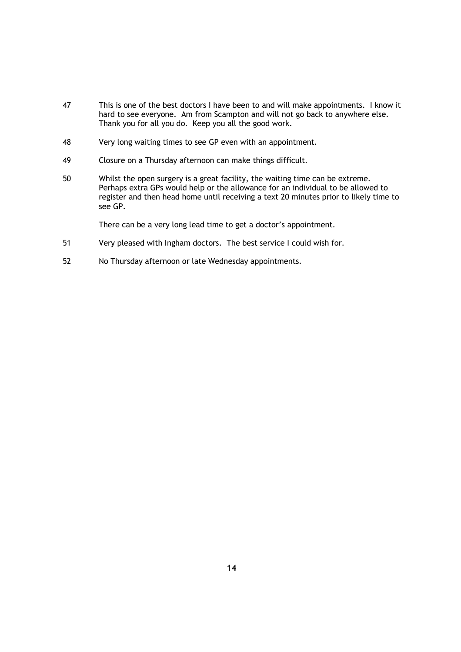- 47 This is one of the best doctors I have been to and will make appointments. I know it hard to see everyone. Am from Scampton and will not go back to anywhere else. Thank you for all you do. Keep you all the good work.
- 48 Very long waiting times to see GP even with an appointment.
- 49 Closure on a Thursday afternoon can make things difficult.
- 50 Whilst the open surgery is a great facility, the waiting time can be extreme. Perhaps extra GPs would help or the allowance for an individual to be allowed to register and then head home until receiving a text 20 minutes prior to likely time to see GP.

There can be a very long lead time to get a doctor's appointment.

- 51 Very pleased with Ingham doctors. The best service I could wish for.
- 52 No Thursday afternoon or late Wednesday appointments.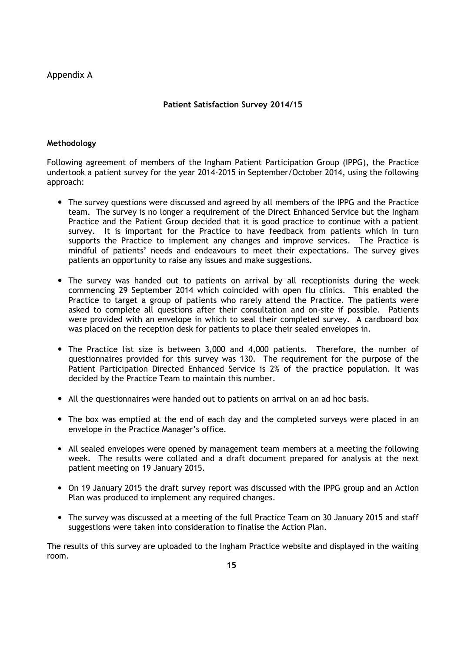Appendix A

#### Patient Satisfaction Survey 2014/15

#### Methodology

Following agreement of members of the Ingham Patient Participation Group (IPPG), the Practice undertook a patient survey for the year 2014-2015 in September/October 2014, using the following approach:

- The survey questions were discussed and agreed by all members of the IPPG and the Practice team. The survey is no longer a requirement of the Direct Enhanced Service but the Ingham Practice and the Patient Group decided that it is good practice to continue with a patient survey. It is important for the Practice to have feedback from patients which in turn supports the Practice to implement any changes and improve services. The Practice is mindful of patients' needs and endeavours to meet their expectations. The survey gives patients an opportunity to raise any issues and make suggestions.
- The survey was handed out to patients on arrival by all receptionists during the week commencing 29 September 2014 which coincided with open flu clinics. This enabled the Practice to target a group of patients who rarely attend the Practice. The patients were asked to complete all questions after their consultation and on-site if possible. Patients were provided with an envelope in which to seal their completed survey. A cardboard box was placed on the reception desk for patients to place their sealed envelopes in.
- The Practice list size is between 3,000 and 4,000 patients. Therefore, the number of questionnaires provided for this survey was 130. The requirement for the purpose of the Patient Participation Directed Enhanced Service is 2% of the practice population. It was decided by the Practice Team to maintain this number.
- All the questionnaires were handed out to patients on arrival on an ad hoc basis.
- The box was emptied at the end of each day and the completed surveys were placed in an envelope in the Practice Manager's office.
- All sealed envelopes were opened by management team members at a meeting the following week. The results were collated and a draft document prepared for analysis at the next patient meeting on 19 January 2015.
- On 19 January 2015 the draft survey report was discussed with the IPPG group and an Action Plan was produced to implement any required changes.
- The survey was discussed at a meeting of the full Practice Team on 30 January 2015 and staff suggestions were taken into consideration to finalise the Action Plan.

The results of this survey are uploaded to the Ingham Practice website and displayed in the waiting room.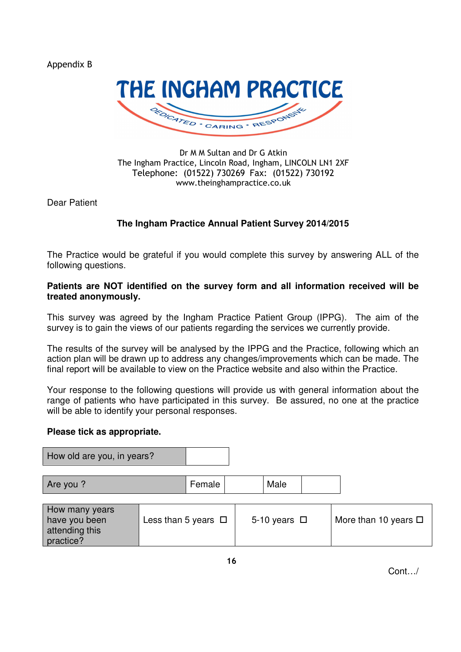Appendix B



#### Dr M M Sultan and Dr G Atkin The Ingham Practice, Lincoln Road, Ingham, LINCOLN LN1 2XF Telephone: (01522) 730269 Fax: (01522) 730192 www.theinghampractice.co.uk

Dear Patient

#### **The Ingham Practice Annual Patient Survey 2014/2015**

The Practice would be grateful if you would complete this survey by answering ALL of the following questions.

#### **Patients are NOT identified on the survey form and all information received will be treated anonymously.**

This survey was agreed by the Ingham Practice Patient Group (IPPG). The aim of the survey is to gain the views of our patients regarding the services we currently provide.

The results of the survey will be analysed by the IPPG and the Practice, following which an action plan will be drawn up to address any changes/improvements which can be made. The final report will be available to view on the Practice website and also within the Practice.

Your response to the following questions will provide us with general information about the range of patients who have participated in this survey. Be assured, no one at the practice will be able to identify your personal responses.

#### **Please tick as appropriate.**

How old are you, in years?

Are you ? The Male Male Male Remale Number of Male

| How many years<br>have you been<br>attending this<br>practice? | Less than 5 years $\Box$ | 5-10 years $\Box$ | More than 10 years $\square$ |
|----------------------------------------------------------------|--------------------------|-------------------|------------------------------|
|----------------------------------------------------------------|--------------------------|-------------------|------------------------------|

Cont…/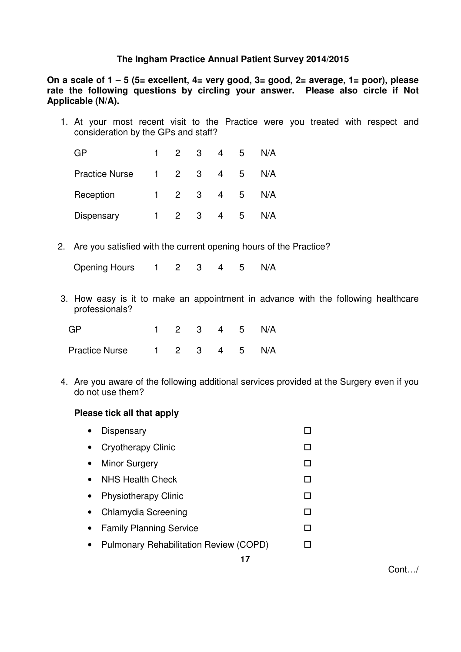#### **The Ingham Practice Annual Patient Survey 2014/2015**

**On a scale of 1 – 5 (5= excellent, 4= very good, 3= good, 2= average, 1= poor), please rate the following questions by circling your answer. Please also circle if Not Applicable (N/A).** 

1. At your most recent visit to the Practice were you treated with respect and consideration by the GPs and staff?

| GP                    | 2                   | 3            | $\overline{4}$ | 5  | N/A |
|-----------------------|---------------------|--------------|----------------|----|-----|
| <b>Practice Nurse</b> | $1 \quad 2 \quad 3$ |              | $\overline{4}$ | 5  | N/A |
| Reception             |                     | $2 \quad 3$  | $\overline{4}$ | 5  | N/A |
| Dispensary            | 2                   | $\mathbf{3}$ | $\overline{4}$ | 5. | N/A |

2. Are you satisfied with the current opening hours of the Practice?

Opening Hours 1 2 3 4 5 N/A

3. How easy is it to make an appointment in advance with the following healthcare professionals?

| GP                    |  |  | 1 2 3 4 5 N/A |
|-----------------------|--|--|---------------|
| <b>Practice Nurse</b> |  |  | 1 2 3 4 5 N/A |

4. Are you aware of the following additional services provided at the Surgery even if you do not use them?

#### **Please tick all that apply**

| $\bullet$ | Dispensary                                    |  |
|-----------|-----------------------------------------------|--|
| $\bullet$ | <b>Cryotherapy Clinic</b>                     |  |
| $\bullet$ | Minor Surgery                                 |  |
| $\bullet$ | NHS Health Check                              |  |
| $\bullet$ | <b>Physiotherapy Clinic</b>                   |  |
| $\bullet$ | Chlamydia Screening                           |  |
| $\bullet$ | <b>Family Planning Service</b>                |  |
| $\bullet$ | <b>Pulmonary Rehabilitation Review (COPD)</b> |  |
|           | 17                                            |  |